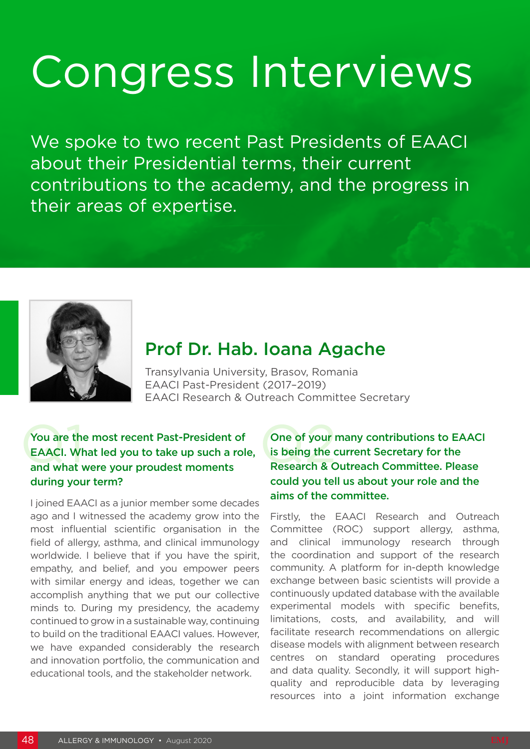# Congress Interviews

We spoke to two recent Past Presidents of EAACI about their Presidential terms, their current contributions to the academy, and the progress in their areas of expertise.



## Prof Dr. Hab. Ioana Agache

Transylvania University, Brasov, Romania EAACI Past-President (2017–2019) EAACI Research & Outreach Committee Secretary

#### You are the most recent Past-President of One of your recent Past-President of One of your reader and what were your proudest moments Research & C You are the most recent Past-President of EAACI. What led you to take up such a role, and what were your proudest moments during your term?

I joined EAACI as a junior member some decades ago and I witnessed the academy grow into the most influential scientific organisation in the field of allergy, asthma, and clinical immunology worldwide. I believe that if you have the spirit, empathy, and belief, and you empower peers with similar energy and ideas, together we can accomplish anything that we put our collective minds to. During my presidency, the academy continued to grow in a sustainable way, continuing to build on the traditional EAACI values. However, we have expanded considerably the research and innovation portfolio, the communication and educational tools, and the stakeholder network.

#### One of your many contributions to EAACI is being the current Secretary for the Research & Outreach Committee. Please could you tell us about your role and the aims of the committee.

Firstly, the EAACI Research and Outreach Committee (ROC) support allergy, asthma, and clinical immunology research through the coordination and support of the research community. A platform for in-depth knowledge exchange between basic scientists will provide a continuously updated database with the available experimental models with specific benefits, limitations, costs, and availability, and will facilitate research recommendations on allergic disease models with alignment between research centres on standard operating procedures and data quality. Secondly, it will support highquality and reproducible data by leveraging resources into a joint information exchange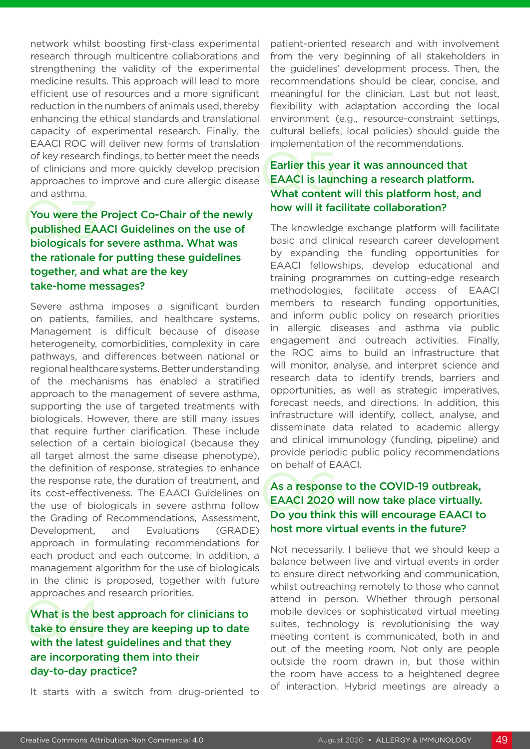network whilst boosting first-class experimental research through multicentre collaborations and strengthening the validity of the experimental medicine results. This approach will lead to more efficient use of resources and a more significant reduction in the numbers of animals used, thereby enhancing the ethical standards and translational capacity of experimental research. Finally, the EAACI ROC will deliver new forms of translation of key research findings, to better meet the needs of clinicians and more quickly develop precision approaches to improve and cure allergic disease and asthma.

#### You were the<br>published EA<br>biologicals fo You were the Project Co-Chair of the newly published EAACI Guidelines on the use of biologicals for severe asthma. What was the rationale for putting these guidelines together, and what are the key take-home messages?

Severe asthma imposes a significant burden on patients, families, and healthcare systems. Management is difficult because of disease heterogeneity, comorbidities, complexity in care pathways, and differences between national or regional healthcare systems. Better understanding of the mechanisms has enabled a stratified approach to the management of severe asthma, supporting the use of targeted treatments with biologicals. However, there are still many issues that require further clarification. These include selection of a certain biological (because they all target almost the same disease phenotype), the definition of response, strategies to enhance the response rate, the duration of treatment, and its cost-effectiveness. The EAACI Guidelines on the use of biologicals in severe asthma follow the Grading of Recommendations, Assessment, Development, and Evaluations (GRADE) approach in formulating recommendations for each product and each outcome. In addition, a management algorithm for the use of biologicals in the clinic is proposed, together with future approaches and research priorities.

#### What is the best take to ensure What is the best approach for clinicians to take to ensure they are keeping up to date with the latest guidelines and that they are incorporating them into their day-to-day practice?

It starts with a switch from drug-oriented to

patient-oriented research and with involvement from the very beginning of all stakeholders in the guidelines' development process. Then, the recommendations should be clear, concise, and meaningful for the clinician. Last but not least, flexibility with adaptation according the local environment (e.g., resource-constraint settings, cultural beliefs, local policies) should guide the implementation of the recommendations.

#### Earlier this ye<br>EAACI is laur<br>What conten Earlier this year it was announced that EAACI is launching a research platform. What content will this platform host, and how will it facilitate collaboration?

The knowledge exchange platform will facilitate basic and clinical research career development by expanding the funding opportunities for EAACI fellowships, develop educational and training programmes on cutting-edge research methodologies, facilitate access of EAACI members to research funding opportunities, and inform public policy on research priorities in allergic diseases and asthma via public engagement and outreach activities. Finally, the ROC aims to build an infrastructure that will monitor, analyse, and interpret science and research data to identify trends, barriers and opportunities, as well as strategic imperatives, forecast needs, and directions. In addition, this infrastructure will identify, collect, analyse, and disseminate data related to academic allergy and clinical immunology (funding, pipeline) and provide periodic public policy recommendations on behalf of EAACI.

#### As a response<br>EAACI 2020 As a response to the COVID-19 outbreak, EAACI 2020 will now take place virtually. Do you think this will encourage EAACI to host more virtual events in the future?

Not necessarily. I believe that we should keep a balance between live and virtual events in order to ensure direct networking and communication, whilst outreaching remotely to those who cannot attend in person. Whether through personal mobile devices or sophisticated virtual meeting suites, technology is revolutionising the way meeting content is communicated, both in and out of the meeting room. Not only are people outside the room drawn in, but those within the room have access to a heightened degree of interaction. Hybrid meetings are already a